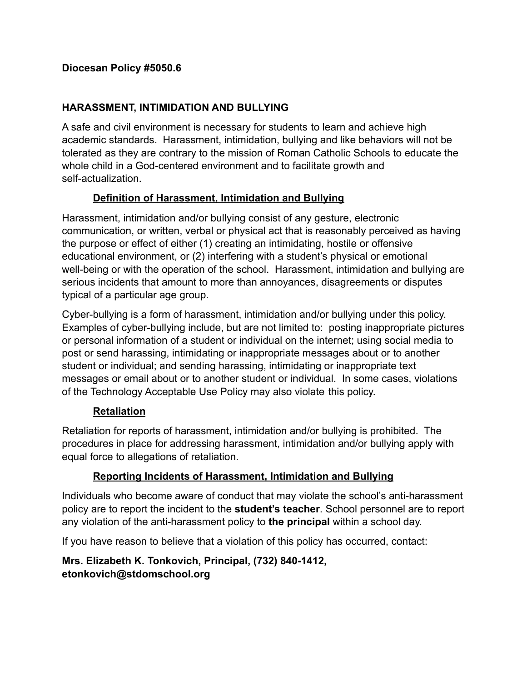### **Diocesan Policy #5050.6**

### **HARASSMENT, INTIMIDATION AND BULLYING**

A safe and civil environment is necessary for students to learn and achieve high academic standards. Harassment, intimidation, bullying and like behaviors will not be tolerated as they are contrary to the mission of Roman Catholic Schools to educate the whole child in a God-centered environment and to facilitate growth and self-actualization.

#### **Definition of Harassment, Intimidation and Bullying**

Harassment, intimidation and/or bullying consist of any gesture, electronic communication, or written, verbal or physical act that is reasonably perceived as having the purpose or effect of either (1) creating an intimidating, hostile or offensive educational environment, or (2) interfering with a student's physical or emotional well-being or with the operation of the school. Harassment, intimidation and bullying are serious incidents that amount to more than annoyances, disagreements or disputes typical of a particular age group.

Cyber-bullying is a form of harassment, intimidation and/or bullying under this policy. Examples of cyber-bullying include, but are not limited to: posting inappropriate pictures or personal information of a student or individual on the internet; using social media to post or send harassing, intimidating or inappropriate messages about or to another student or individual; and sending harassing, intimidating or inappropriate text messages or email about or to another student or individual. In some cases, violations of the Technology Acceptable Use Policy may also violate this policy.

## **Retaliation**

Retaliation for reports of harassment, intimidation and/or bullying is prohibited. The procedures in place for addressing harassment, intimidation and/or bullying apply with equal force to allegations of retaliation.

## **Reporting Incidents of Harassment, Intimidation and Bullying**

Individuals who become aware of conduct that may violate the school's anti-harassment policy are to report the incident to the **student's teacher**. School personnel are to report any violation of the anti-harassment policy to **the principal** within a school day.

If you have reason to believe that a violation of this policy has occurred, contact:

# **Mrs. Elizabeth K. Tonkovich, Principal, (732) 840-1412, etonkovich@stdomschool.org**